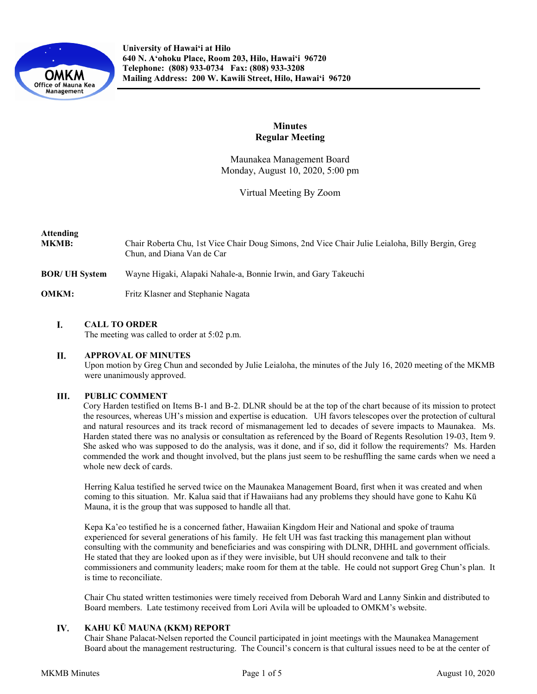

# **Minutes Regular Meeting**

Maunakea Management Board Monday, August 10, 2020, 5:00 pm

Virtual Meeting By Zoom

# **Attending**

- **MKMB:** Chair Roberta Chu, 1st Vice Chair Doug Simons, 2nd Vice Chair Julie Leialoha, Billy Bergin, Greg Chun, and Diana Van de Car
- **BOR/ UH System** Wayne Higaki, Alapaki Nahale-a, Bonnie Irwin, and Gary Takeuchi
- **OMKM:** Fritz Klasner and Stephanie Nagata

#### L. **CALL TO ORDER**

The meeting was called to order at 5:02 p.m.

#### II. **APPROVAL OF MINUTES**

Upon motion by Greg Chun and seconded by Julie Leialoha, the minutes of the July 16, 2020 meeting of the MKMB were unanimously approved.

#### III. **PUBLIC COMMENT**

Cory Harden testified on Items B-1 and B-2. DLNR should be at the top of the chart because of its mission to protect the resources, whereas UH's mission and expertise is education. UH favors telescopes over the protection of cultural and natural resources and its track record of mismanagement led to decades of severe impacts to Maunakea. Ms. Harden stated there was no analysis or consultation as referenced by the Board of Regents Resolution 19-03, Item 9. She asked who was supposed to do the analysis, was it done, and if so, did it follow the requirements? Ms. Harden commended the work and thought involved, but the plans just seem to be reshuffling the same cards when we need a whole new deck of cards.

Herring Kalua testified he served twice on the Maunakea Management Board, first when it was created and when coming to this situation. Mr. Kalua said that if Hawaiians had any problems they should have gone to Kahu Kū Mauna, it is the group that was supposed to handle all that.

Kepa Ka'eo testified he is a concerned father, Hawaiian Kingdom Heir and National and spoke of trauma experienced for several generations of his family. He felt UH was fast tracking this management plan without consulting with the community and beneficiaries and was conspiring with DLNR, DHHL and government officials. He stated that they are looked upon as if they were invisible, but UH should reconvene and talk to their commissioners and community leaders; make room for them at the table. He could not support Greg Chun's plan. It is time to reconciliate.

Chair Chu stated written testimonies were timely received from Deborah Ward and Lanny Sinkin and distributed to Board members. Late testimony received from Lori Avila will be uploaded to OMKM's website.

#### IV. **KAHU KŪ MAUNA (KKM) REPORT**

Chair Shane Palacat-Nelsen reported the Council participated in joint meetings with the Maunakea Management Board about the management restructuring. The Council's concern is that cultural issues need to be at the center of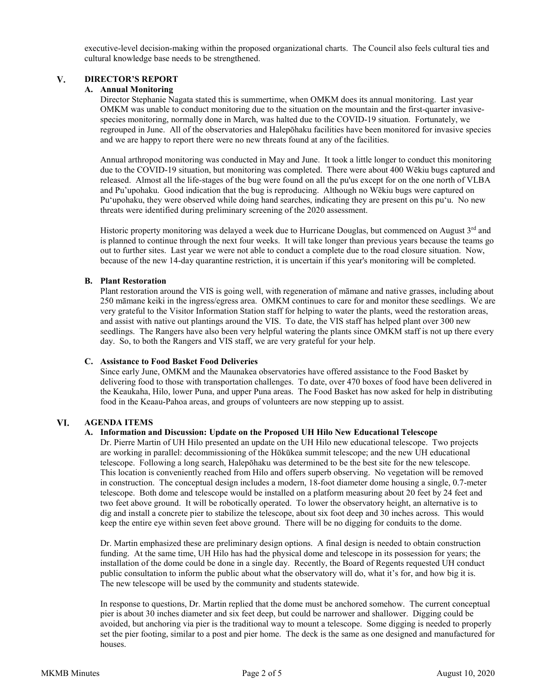executive-level decision-making within the proposed organizational charts. The Council also feels cultural ties and cultural knowledge base needs to be strengthened.

#### $V_{\star}$ **DIRECTOR'S REPORT**

### **A. Annual Monitoring**

Director Stephanie Nagata stated this is summertime, when OMKM does its annual monitoring. Last year OMKM was unable to conduct monitoring due to the situation on the mountain and the first-quarter invasivespecies monitoring, normally done in March, was halted due to the COVID-19 situation. Fortunately, we regrouped in June. All of the observatories and Halepōhaku facilities have been monitored for invasive species and we are happy to report there were no new threats found at any of the facilities.

Annual arthropod monitoring was conducted in May and June. It took a little longer to conduct this monitoring due to the COVID-19 situation, but monitoring was completed. There were about 400 Wēkiu bugs captured and released. Almost all the life-stages of the bug were found on all the pu'us except for on the one north of VLBA and Pu'upohaku. Good indication that the bug is reproducing. Although no Wēkiu bugs were captured on Puʻupohaku, they were observed while doing hand searches, indicating they are present on this puʻu. No new threats were identified during preliminary screening of the 2020 assessment.

Historic property monitoring was delayed a week due to Hurricane Douglas, but commenced on August  $3<sup>rd</sup>$  and is planned to continue through the next four weeks. It will take longer than previous years because the teams go out to further sites. Last year we were not able to conduct a complete due to the road closure situation. Now, because of the new 14-day quarantine restriction, it is uncertain if this year's monitoring will be completed.

### **B. Plant Restoration**

Plant restoration around the VIS is going well, with regeneration of māmane and native grasses, including about 250 māmane keiki in the ingress/egress area. OMKM continues to care for and monitor these seedlings. We are very grateful to the Visitor Information Station staff for helping to water the plants, weed the restoration areas, and assist with native out plantings around the VIS. To date, the VIS staff has helped plant over 300 new seedlings. The Rangers have also been very helpful watering the plants since OMKM staff is not up there every day. So, to both the Rangers and VIS staff, we are very grateful for your help.

### **C. Assistance to Food Basket Food Deliveries**

Since early June, OMKM and the Maunakea observatories have offered assistance to the Food Basket by delivering food to those with transportation challenges. To date, over 470 boxes of food have been delivered in the Keaukaha, Hilo, lower Puna, and upper Puna areas. The Food Basket has now asked for help in distributing food in the Keaau-Pahoa areas, and groups of volunteers are now stepping up to assist.

#### VI. **AGENDA ITEMS**

### **A. Information and Discussion: Update on the Proposed UH Hilo New Educational Telescope**

Dr. Pierre Martin of UH Hilo presented an update on the UH Hilo new educational telescope. Two projects are working in parallel: decommissioning of the Hōkūkea summit telescope; and the new UH educational telescope. Following a long search, Halepōhaku was determined to be the best site for the new telescope. This location is conveniently reached from Hilo and offers superb observing. No vegetation will be removed in construction. The conceptual design includes a modern, 18-foot diameter dome housing a single, 0.7-meter telescope. Both dome and telescope would be installed on a platform measuring about 20 feet by 24 feet and two feet above ground. It will be robotically operated. To lower the observatory height, an alternative is to dig and install a concrete pier to stabilize the telescope, about six foot deep and 30 inches across. This would keep the entire eye within seven feet above ground. There will be no digging for conduits to the dome.

Dr. Martin emphasized these are preliminary design options. A final design is needed to obtain construction funding. At the same time, UH Hilo has had the physical dome and telescope in its possession for years; the installation of the dome could be done in a single day. Recently, the Board of Regents requested UH conduct public consultation to inform the public about what the observatory will do, what it's for, and how big it is. The new telescope will be used by the community and students statewide.

In response to questions, Dr. Martin replied that the dome must be anchored somehow. The current conceptual pier is about 30 inches diameter and six feet deep, but could be narrower and shallower. Digging could be avoided, but anchoring via pier is the traditional way to mount a telescope. Some digging is needed to properly set the pier footing, similar to a post and pier home. The deck is the same as one designed and manufactured for houses.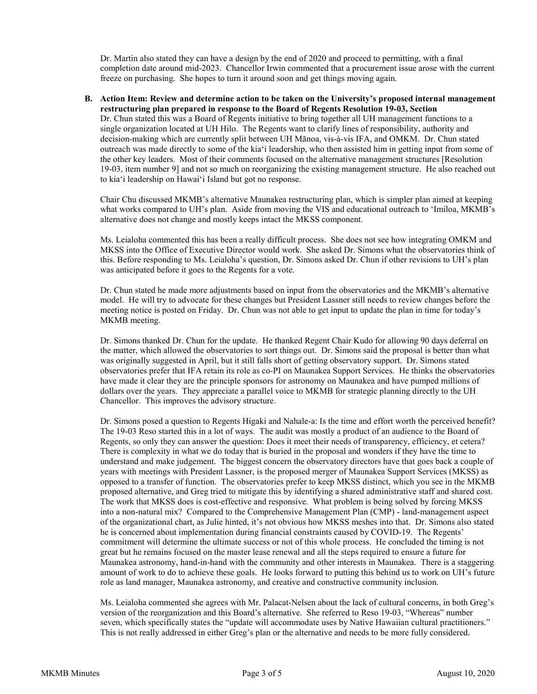Dr. Martin also stated they can have a design by the end of 2020 and proceed to permitting, with a final completion date around mid-2023. Chancellor Irwin commented that a procurement issue arose with the current freeze on purchasing. She hopes to turn it around soon and get things moving again.

**B. Action Item: Review and determine action to be taken on the University's proposed internal management restructuring plan prepared in response to the Board of Regents Resolution 19-03, Section**  Dr. Chun stated this was a Board of Regents initiative to bring together all UH management functions to a single organization located at UH Hilo. The Regents want to clarify lines of responsibility, authority and decision-making which are currently split between UH Mānoa, vis-à-vis IFA, and OMKM. Dr. Chun stated outreach was made directly to some of the kiaʻi leadership, who then assisted him in getting input from some of the other key leaders. Most of their comments focused on the alternative management structures [Resolution 19-03, item number 9] and not so much on reorganizing the existing management structure. He also reached out to kiaʻi leadership on Hawaiʻi Island but got no response.

Chair Chu discussed MKMB's alternative Maunakea restructuring plan, which is simpler plan aimed at keeping what works compared to UH's plan. Aside from moving the VIS and educational outreach to 'Imiloa, MKMB's alternative does not change and mostly keeps intact the MKSS component.

Ms. Leialoha commented this has been a really difficult process. She does not see how integrating OMKM and MKSS into the Office of Executive Director would work. She asked Dr. Simons what the observatories think of this. Before responding to Ms. Leialoha's question, Dr. Simons asked Dr. Chun if other revisions to UH's plan was anticipated before it goes to the Regents for a vote.

Dr. Chun stated he made more adjustments based on input from the observatories and the MKMB's alternative model. He will try to advocate for these changes but President Lassner still needs to review changes before the meeting notice is posted on Friday. Dr. Chun was not able to get input to update the plan in time for today's MKMB meeting.

Dr. Simons thanked Dr. Chun for the update. He thanked Regent Chair Kudo for allowing 90 days deferral on the matter, which allowed the observatories to sort things out. Dr. Simons said the proposal is better than what was originally suggested in April, but it still falls short of getting observatory support. Dr. Simons stated observatories prefer that IFA retain its role as co-PI on Maunakea Support Services. He thinks the observatories have made it clear they are the principle sponsors for astronomy on Maunakea and have pumped millions of dollars over the years. They appreciate a parallel voice to MKMB for strategic planning directly to the UH Chancellor. This improves the advisory structure.

Dr. Simons posed a question to Regents Higaki and Nahale-a: Is the time and effort worth the perceived benefit? The 19-03 Reso started this in a lot of ways. The audit was mostly a product of an audience to the Board of Regents, so only they can answer the question: Does it meet their needs of transparency, efficiency, et cetera? There is complexity in what we do today that is buried in the proposal and wonders if they have the time to understand and make judgement. The biggest concern the observatory directors have that goes back a couple of years with meetings with President Lassner, is the proposed merger of Maunakea Support Services (MKSS) as opposed to a transfer of function. The observatories prefer to keep MKSS distinct, which you see in the MKMB proposed alternative, and Greg tried to mitigate this by identifying a shared administrative staff and shared cost. The work that MKSS does is cost-effective and responsive. What problem is being solved by forcing MKSS into a non-natural mix? Compared to the Comprehensive Management Plan (CMP) - land-management aspect of the organizational chart, as Julie hinted, it's not obvious how MKSS meshes into that. Dr. Simons also stated he is concerned about implementation during financial constraints caused by COVID-19. The Regents' commitment will determine the ultimate success or not of this whole process. He concluded the timing is not great but he remains focused on the master lease renewal and all the steps required to ensure a future for Maunakea astronomy, hand-in-hand with the community and other interests in Maunakea. There is a staggering amount of work to do to achieve these goals. He looks forward to putting this behind us to work on UH's future role as land manager, Maunakea astronomy, and creative and constructive community inclusion.

Ms. Leialoha commented she agrees with Mr. Palacat-Nelsen about the lack of cultural concerns, in both Greg's version of the reorganization and this Board's alternative. She referred to Reso 19-03, "Whereas" number seven, which specifically states the "update will accommodate uses by Native Hawaiian cultural practitioners." This is not really addressed in either Greg's plan or the alternative and needs to be more fully considered.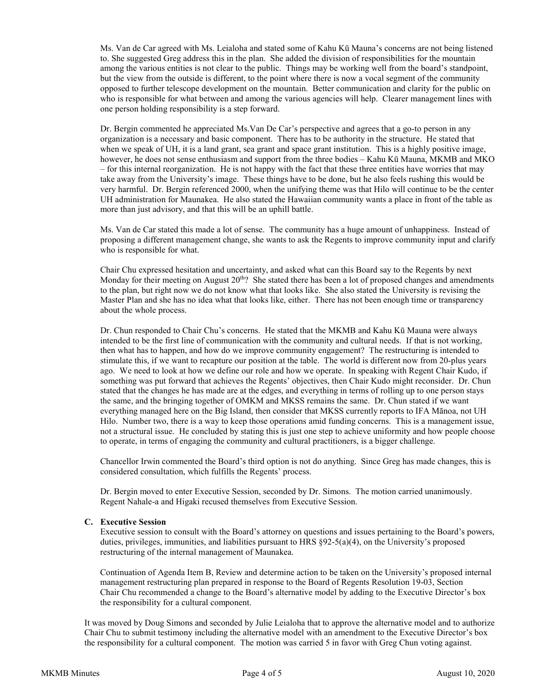Ms. Van de Car agreed with Ms. Leialoha and stated some of Kahu Kū Mauna's concerns are not being listened to. She suggested Greg address this in the plan. She added the division of responsibilities for the mountain among the various entities is not clear to the public. Things may be working well from the board's standpoint, but the view from the outside is different, to the point where there is now a vocal segment of the community opposed to further telescope development on the mountain. Better communication and clarity for the public on who is responsible for what between and among the various agencies will help. Clearer management lines with one person holding responsibility is a step forward.

Dr. Bergin commented he appreciated Ms.Van De Car's perspective and agrees that a go-to person in any organization is a necessary and basic component. There has to be authority in the structure. He stated that when we speak of UH, it is a land grant, sea grant and space grant institution. This is a highly positive image, however, he does not sense enthusiasm and support from the three bodies – Kahu Kū Mauna, MKMB and MKO – for this internal reorganization. He is not happy with the fact that these three entities have worries that may take away from the University's image. These things have to be done, but he also feels rushing this would be very harmful. Dr. Bergin referenced 2000, when the unifying theme was that Hilo will continue to be the center UH administration for Maunakea. He also stated the Hawaiian community wants a place in front of the table as more than just advisory, and that this will be an uphill battle.

Ms. Van de Car stated this made a lot of sense. The community has a huge amount of unhappiness. Instead of proposing a different management change, she wants to ask the Regents to improve community input and clarify who is responsible for what.

Chair Chu expressed hesitation and uncertainty, and asked what can this Board say to the Regents by next Monday for their meeting on August  $20^{th}$ ? She stated there has been a lot of proposed changes and amendments to the plan, but right now we do not know what that looks like. She also stated the University is revising the Master Plan and she has no idea what that looks like, either. There has not been enough time or transparency about the whole process.

Dr. Chun responded to Chair Chu's concerns. He stated that the MKMB and Kahu Kū Mauna were always intended to be the first line of communication with the community and cultural needs. If that is not working, then what has to happen, and how do we improve community engagement? The restructuring is intended to stimulate this, if we want to recapture our position at the table. The world is different now from 20-plus years ago. We need to look at how we define our role and how we operate. In speaking with Regent Chair Kudo, if something was put forward that achieves the Regents' objectives, then Chair Kudo might reconsider. Dr. Chun stated that the changes he has made are at the edges, and everything in terms of rolling up to one person stays the same, and the bringing together of OMKM and MKSS remains the same. Dr. Chun stated if we want everything managed here on the Big Island, then consider that MKSS currently reports to IFA Mānoa, not UH Hilo. Number two, there is a way to keep those operations amid funding concerns. This is a management issue, not a structural issue. He concluded by stating this is just one step to achieve uniformity and how people choose to operate, in terms of engaging the community and cultural practitioners, is a bigger challenge.

Chancellor Irwin commented the Board's third option is not do anything. Since Greg has made changes, this is considered consultation, which fulfills the Regents' process.

Dr. Bergin moved to enter Executive Session, seconded by Dr. Simons. The motion carried unanimously. Regent Nahale-a and Higaki recused themselves from Executive Session.

### **C. Executive Session**

Executive session to consult with the Board's attorney on questions and issues pertaining to the Board's powers, duties, privileges, immunities, and liabilities pursuant to HRS  $\S92-5(a)(4)$ , on the University's proposed restructuring of the internal management of Maunakea.

Continuation of Agenda Item B, Review and determine action to be taken on the University's proposed internal management restructuring plan prepared in response to the Board of Regents Resolution 19-03, Section Chair Chu recommended a change to the Board's alternative model by adding to the Executive Director's box the responsibility for a cultural component.

It was moved by Doug Simons and seconded by Julie Leialoha that to approve the alternative model and to authorize Chair Chu to submit testimony including the alternative model with an amendment to the Executive Director's box the responsibility for a cultural component. The motion was carried 5 in favor with Greg Chun voting against.